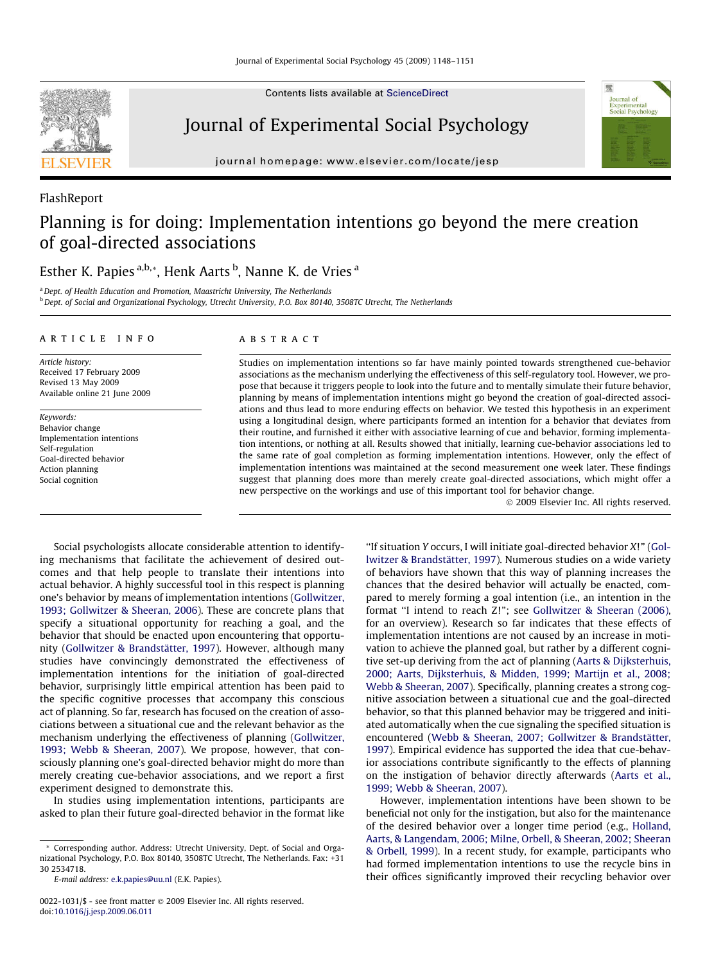Contents lists available at [ScienceDirect](http://www.sciencedirect.com/science/journal/00221031)



Journal of Experimental Social Psychology

journal homepage: [www.elsevier.com/locate/jesp](http://www.elsevier.com/locate/jesp)

# FlashReport

# Planning is for doing: Implementation intentions go beyond the mere creation of goal-directed associations

Esther K. Papies <sup>a,b,</sup>\*, Henk Aarts <sup>b</sup>, Nanne K. de Vries <sup>a</sup>

<sup>a</sup> Dept. of Health Education and Promotion, Maastricht University, The Netherlands <sup>b</sup> Dept. of Social and Organizational Psychology, Utrecht University, P.O. Box 80140, 3508TC Utrecht, The Netherlands

#### article info

Article history: Received 17 February 2009 Revised 13 May 2009 Available online 21 June 2009

Keywords: Behavior change Implementation intentions Self-regulation Goal-directed behavior Action planning Social cognition

#### **ABSTRACT**

Studies on implementation intentions so far have mainly pointed towards strengthened cue-behavior associations as the mechanism underlying the effectiveness of this self-regulatory tool. However, we propose that because it triggers people to look into the future and to mentally simulate their future behavior, planning by means of implementation intentions might go beyond the creation of goal-directed associations and thus lead to more enduring effects on behavior. We tested this hypothesis in an experiment using a longitudinal design, where participants formed an intention for a behavior that deviates from their routine, and furnished it either with associative learning of cue and behavior, forming implementation intentions, or nothing at all. Results showed that initially, learning cue-behavior associations led to the same rate of goal completion as forming implementation intentions. However, only the effect of implementation intentions was maintained at the second measurement one week later. These findings suggest that planning does more than merely create goal-directed associations, which might offer a new perspective on the workings and use of this important tool for behavior change.

- 2009 Elsevier Inc. All rights reserved.

度 Journal of Experimental<br>Social Psychology

Social psychologists allocate considerable attention to identifying mechanisms that facilitate the achievement of desired outcomes and that help people to translate their intentions into actual behavior. A highly successful tool in this respect is planning one's behavior by means of implementation intentions [\(Gollwitzer,](#page-3-0) [1993; Gollwitzer & Sheeran, 2006\)](#page-3-0). These are concrete plans that specify a situational opportunity for reaching a goal, and the behavior that should be enacted upon encountering that opportunity [\(Gollwitzer & Brandstätter, 1997\)](#page-3-0). However, although many studies have convincingly demonstrated the effectiveness of implementation intentions for the initiation of goal-directed behavior, surprisingly little empirical attention has been paid to the specific cognitive processes that accompany this conscious act of planning. So far, research has focused on the creation of associations between a situational cue and the relevant behavior as the mechanism underlying the effectiveness of planning [\(Gollwitzer,](#page-3-0) [1993; Webb & Sheeran, 2007\)](#page-3-0). We propose, however, that consciously planning one's goal-directed behavior might do more than merely creating cue-behavior associations, and we report a first experiment designed to demonstrate this.

In studies using implementation intentions, participants are asked to plan their future goal-directed behavior in the format like

\* Corresponding author. Address: Utrecht University, Dept. of Social and Organizational Psychology, P.O. Box 80140, 3508TC Utrecht, The Netherlands. Fax: +31 30 2534718.

''If situation Y occurs, I will initiate goal-directed behavior X!" ([Gol](#page-3-0)[lwitzer & Brandstätter, 1997\)](#page-3-0). Numerous studies on a wide variety of behaviors have shown that this way of planning increases the chances that the desired behavior will actually be enacted, compared to merely forming a goal intention (i.e., an intention in the format ''I intend to reach Z!"; see [Gollwitzer & Sheeran \(2006\),](#page-3-0) for an overview). Research so far indicates that these effects of implementation intentions are not caused by an increase in motivation to achieve the planned goal, but rather by a different cognitive set-up deriving from the act of planning [\(Aarts & Dijksterhuis,](#page-2-0) [2000; Aarts, Dijksterhuis, & Midden, 1999; Martijn et al., 2008;](#page-2-0) [Webb & Sheeran, 2007\)](#page-2-0). Specifically, planning creates a strong cognitive association between a situational cue and the goal-directed behavior, so that this planned behavior may be triggered and initiated automatically when the cue signaling the specified situation is encountered ([Webb & Sheeran, 2007; Gollwitzer & Brandstätter,](#page-3-0) [1997\)](#page-3-0). Empirical evidence has supported the idea that cue-behavior associations contribute significantly to the effects of planning on the instigation of behavior directly afterwards ([Aarts et al.,](#page-2-0) [1999; Webb & Sheeran, 2007](#page-2-0)).

However, implementation intentions have been shown to be beneficial not only for the instigation, but also for the maintenance of the desired behavior over a longer time period (e.g., [Holland,](#page-3-0) [Aarts, & Langendam, 2006; Milne, Orbell, & Sheeran, 2002; Sheeran](#page-3-0) [& Orbell, 1999\)](#page-3-0). In a recent study, for example, participants who had formed implementation intentions to use the recycle bins in their offices significantly improved their recycling behavior over

E-mail address: [e.k.papies@uu.nl](mailto:e.k.papies@uu.nl) (E.K. Papies).

<sup>0022-1031/\$ -</sup> see front matter © 2009 Elsevier Inc. All rights reserved. doi:[10.1016/j.jesp.2009.06.011](http://dx.doi.org/10.1016/j.jesp.2009.06.011)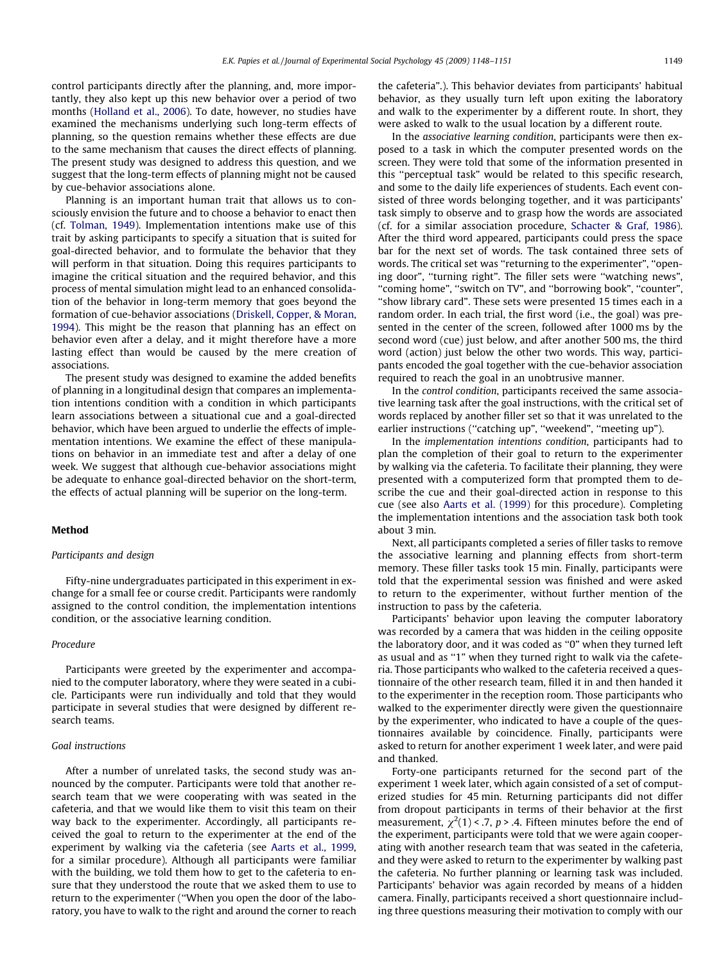control participants directly after the planning, and, more importantly, they also kept up this new behavior over a period of two months [\(Holland et al., 2006](#page-3-0)). To date, however, no studies have examined the mechanisms underlying such long-term effects of planning, so the question remains whether these effects are due to the same mechanism that causes the direct effects of planning. The present study was designed to address this question, and we suggest that the long-term effects of planning might not be caused by cue-behavior associations alone.

Planning is an important human trait that allows us to consciously envision the future and to choose a behavior to enact then (cf. [Tolman, 1949](#page-3-0)). Implementation intentions make use of this trait by asking participants to specify a situation that is suited for goal-directed behavior, and to formulate the behavior that they will perform in that situation. Doing this requires participants to imagine the critical situation and the required behavior, and this process of mental simulation might lead to an enhanced consolidation of the behavior in long-term memory that goes beyond the formation of cue-behavior associations ([Driskell, Copper, & Moran,](#page-3-0) [1994\)](#page-3-0). This might be the reason that planning has an effect on behavior even after a delay, and it might therefore have a more lasting effect than would be caused by the mere creation of associations.

The present study was designed to examine the added benefits of planning in a longitudinal design that compares an implementation intentions condition with a condition in which participants learn associations between a situational cue and a goal-directed behavior, which have been argued to underlie the effects of implementation intentions. We examine the effect of these manipulations on behavior in an immediate test and after a delay of one week. We suggest that although cue-behavior associations might be adequate to enhance goal-directed behavior on the short-term, the effects of actual planning will be superior on the long-term.

## Method

## Participants and design

Fifty-nine undergraduates participated in this experiment in exchange for a small fee or course credit. Participants were randomly assigned to the control condition, the implementation intentions condition, or the associative learning condition.

#### Procedure

Participants were greeted by the experimenter and accompanied to the computer laboratory, where they were seated in a cubicle. Participants were run individually and told that they would participate in several studies that were designed by different research teams.

#### Goal instructions

After a number of unrelated tasks, the second study was announced by the computer. Participants were told that another research team that we were cooperating with was seated in the cafeteria, and that we would like them to visit this team on their way back to the experimenter. Accordingly, all participants received the goal to return to the experimenter at the end of the experiment by walking via the cafeteria (see [Aarts et al., 1999,](#page-2-0) for a similar procedure). Although all participants were familiar with the building, we told them how to get to the cafeteria to ensure that they understood the route that we asked them to use to return to the experimenter (''When you open the door of the laboratory, you have to walk to the right and around the corner to reach the cafeteria".). This behavior deviates from participants' habitual behavior, as they usually turn left upon exiting the laboratory and walk to the experimenter by a different route. In short, they were asked to walk to the usual location by a different route.

In the associative learning condition, participants were then exposed to a task in which the computer presented words on the screen. They were told that some of the information presented in this ''perceptual task" would be related to this specific research, and some to the daily life experiences of students. Each event consisted of three words belonging together, and it was participants' task simply to observe and to grasp how the words are associated (cf. for a similar association procedure, [Schacter & Graf, 1986\)](#page-3-0). After the third word appeared, participants could press the space bar for the next set of words. The task contained three sets of words. The critical set was ''returning to the experimenter", ''opening door", ''turning right". The filler sets were ''watching news", "coming home", "switch on TV", and "borrowing book", "counter", ''show library card". These sets were presented 15 times each in a random order. In each trial, the first word (i.e., the goal) was presented in the center of the screen, followed after 1000 ms by the second word (cue) just below, and after another 500 ms, the third word (action) just below the other two words. This way, participants encoded the goal together with the cue-behavior association required to reach the goal in an unobtrusive manner.

In the control condition, participants received the same associative learning task after the goal instructions, with the critical set of words replaced by another filler set so that it was unrelated to the earlier instructions ("catching up", "weekend", "meeting up").

In the implementation intentions condition, participants had to plan the completion of their goal to return to the experimenter by walking via the cafeteria. To facilitate their planning, they were presented with a computerized form that prompted them to describe the cue and their goal-directed action in response to this cue (see also [Aarts et al. \(1999\)](#page-2-0) for this procedure). Completing the implementation intentions and the association task both took about 3 min.

Next, all participants completed a series of filler tasks to remove the associative learning and planning effects from short-term memory. These filler tasks took 15 min. Finally, participants were told that the experimental session was finished and were asked to return to the experimenter, without further mention of the instruction to pass by the cafeteria.

Participants' behavior upon leaving the computer laboratory was recorded by a camera that was hidden in the ceiling opposite the laboratory door, and it was coded as ''0" when they turned left as usual and as ''1" when they turned right to walk via the cafeteria. Those participants who walked to the cafeteria received a questionnaire of the other research team, filled it in and then handed it to the experimenter in the reception room. Those participants who walked to the experimenter directly were given the questionnaire by the experimenter, who indicated to have a couple of the questionnaires available by coincidence. Finally, participants were asked to return for another experiment 1 week later, and were paid and thanked.

Forty-one participants returned for the second part of the experiment 1 week later, which again consisted of a set of computerized studies for 45 min. Returning participants did not differ from dropout participants in terms of their behavior at the first measurement,  $\chi^2(1) < .7$ ,  $p > .4$ . Fifteen minutes before the end of the experiment, participants were told that we were again cooperating with another research team that was seated in the cafeteria, and they were asked to return to the experimenter by walking past the cafeteria. No further planning or learning task was included. Participants' behavior was again recorded by means of a hidden camera. Finally, participants received a short questionnaire including three questions measuring their motivation to comply with our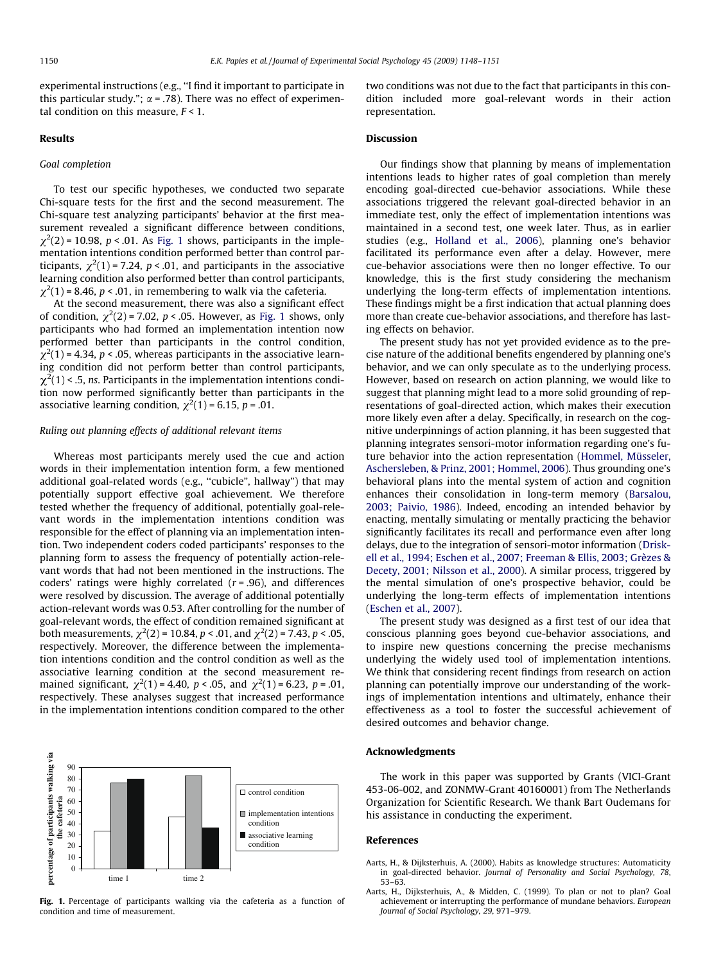<span id="page-2-0"></span>experimental instructions (e.g., ''I find it important to participate in this particular study.":  $\alpha$  = .78). There was no effect of experimental condition on this measure,  $F < 1$ .

#### Results

#### Goal completion

To test our specific hypotheses, we conducted two separate Chi-square tests for the first and the second measurement. The Chi-square test analyzing participants' behavior at the first measurement revealed a significant difference between conditions,  $\chi^2(2)$  = 10.98, p < .01. As Fig. 1 shows, participants in the implementation intentions condition performed better than control participants,  $\chi^2(1)$  = 7.24, p < .01, and participants in the associative learning condition also performed better than control participants,  $\chi^2(1)$  = 8.46, p < .01, in remembering to walk via the cafeteria.

At the second measurement, there was also a significant effect of condition,  $\chi^2(2)$  = 7.02, p < .05. However, as Fig. 1 shows, only participants who had formed an implementation intention now performed better than participants in the control condition,  $\chi^2(1)$  = 4.34, p < .05, whereas participants in the associative learning condition did not perform better than control participants,  $\chi^2(1)$  < .5, ns. Participants in the implementation intentions condition now performed significantly better than participants in the associative learning condition,  $\chi^2(1)$  = 6.15, p = .01.

# Ruling out planning effects of additional relevant items

Whereas most participants merely used the cue and action words in their implementation intention form, a few mentioned additional goal-related words (e.g., "cubicle", hallway") that may potentially support effective goal achievement. We therefore tested whether the frequency of additional, potentially goal-relevant words in the implementation intentions condition was responsible for the effect of planning via an implementation intention. Two independent coders coded participants' responses to the planning form to assess the frequency of potentially action-relevant words that had not been mentioned in the instructions. The coders' ratings were highly correlated  $(r = .96)$ , and differences were resolved by discussion. The average of additional potentially action-relevant words was 0.53. After controlling for the number of goal-relevant words, the effect of condition remained significant at both measurements,  $\chi^2(2)$  = 10.84, p < .01, and  $\chi^2(2)$  = 7.43, p < .05, respectively. Moreover, the difference between the implementation intentions condition and the control condition as well as the associative learning condition at the second measurement remained significant,  $\chi^2(1)$  = 4.40, p < .05, and  $\chi^2(1)$  = 6.23, p = .01, respectively. These analyses suggest that increased performance in the implementation intentions condition compared to the other



Fig. 1. Percentage of participants walking via the cafeteria as a function of condition and time of measurement.

two conditions was not due to the fact that participants in this condition included more goal-relevant words in their action representation.

## Discussion

Our findings show that planning by means of implementation intentions leads to higher rates of goal completion than merely encoding goal-directed cue-behavior associations. While these associations triggered the relevant goal-directed behavior in an immediate test, only the effect of implementation intentions was maintained in a second test, one week later. Thus, as in earlier studies (e.g., [Holland et al., 2006\)](#page-3-0), planning one's behavior facilitated its performance even after a delay. However, mere cue-behavior associations were then no longer effective. To our knowledge, this is the first study considering the mechanism underlying the long-term effects of implementation intentions. These findings might be a first indication that actual planning does more than create cue-behavior associations, and therefore has lasting effects on behavior.

The present study has not yet provided evidence as to the precise nature of the additional benefits engendered by planning one's behavior, and we can only speculate as to the underlying process. However, based on research on action planning, we would like to suggest that planning might lead to a more solid grounding of representations of goal-directed action, which makes their execution more likely even after a delay. Specifically, in research on the cognitive underpinnings of action planning, it has been suggested that planning integrates sensori-motor information regarding one's future behavior into the action representation ([Hommel, Müsseler,](#page-3-0) [Aschersleben, & Prinz, 2001; Hommel, 2006\)](#page-3-0). Thus grounding one's behavioral plans into the mental system of action and cognition enhances their consolidation in long-term memory [\(Barsalou,](#page-3-0) [2003; Paivio, 1986\)](#page-3-0). Indeed, encoding an intended behavior by enacting, mentally simulating or mentally practicing the behavior significantly facilitates its recall and performance even after long delays, due to the integration of sensori-motor information ([Drisk](#page-3-0)[ell et al., 1994; Eschen et al., 2007; Freeman & Ellis, 2003; Grèzes &](#page-3-0) [Decety, 2001; Nilsson et al., 2000](#page-3-0)). A similar process, triggered by the mental simulation of one's prospective behavior, could be underlying the long-term effects of implementation intentions ([Eschen et al., 2007\)](#page-3-0).

The present study was designed as a first test of our idea that conscious planning goes beyond cue-behavior associations, and to inspire new questions concerning the precise mechanisms underlying the widely used tool of implementation intentions. We think that considering recent findings from research on action planning can potentially improve our understanding of the workings of implementation intentions and ultimately, enhance their effectiveness as a tool to foster the successful achievement of desired outcomes and behavior change.

#### Acknowledgments

The work in this paper was supported by Grants (VICI-Grant 453-06-002, and ZONMW-Grant 40160001) from The Netherlands Organization for Scientific Research. We thank Bart Oudemans for his assistance in conducting the experiment.

#### References

- Aarts, H., & Dijksterhuis, A. (2000). Habits as knowledge structures: Automaticity in goal-directed behavior. Journal of Personality and Social Psychology, 78, 53–63.
- Aarts, H., Dijksterhuis, A., & Midden, C. (1999). To plan or not to plan? Goal achievement or interrupting the performance of mundane behaviors. European Journal of Social Psychology, 29, 971–979.